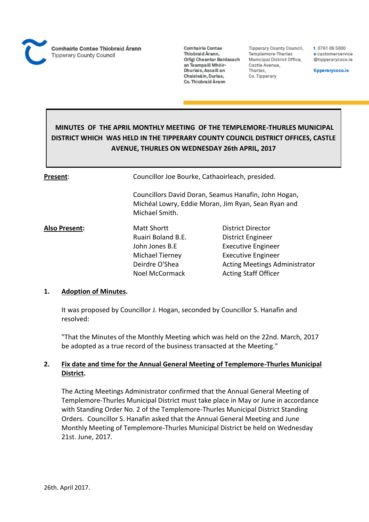

**Tipperary County Council,** Templemore-Thurles **Municipal District Office,** Castle Avenue, Thurles, Co. Tipperary

t 0761 06 5000 e customerservice @tipperarycoco.ie

tipperarycoco.ie

# **MINUTES OF THE APRIL MONTHLY MEETING OF THE TEMPLEMORE-THURLES MUNICIPAL DISTRICT WHICH WAS HELD IN THE TIPPERARY COUNTY COUNCIL DISTRICT OFFICES, CASTLE AVENUE, THURLES ON WEDNESDAY 26th APRIL, 2017**

| Present:      | Councillor Joe Bourke, Cathaoirleach, presided. |                                                                                                             |  |
|---------------|-------------------------------------------------|-------------------------------------------------------------------------------------------------------------|--|
|               | Michael Smith.                                  | Councillors David Doran, Seamus Hanafin, John Hogan,<br>Michéal Lowry, Eddie Moran, Jim Ryan, Sean Ryan and |  |
| Also Present: | <b>Matt Shortt</b>                              | District Director                                                                                           |  |
|               | Ruairi Boland B.E.                              | District Engineer                                                                                           |  |
|               | John Jones B.E                                  | <b>Executive Engineer</b>                                                                                   |  |
|               | Michael Tierney                                 | <b>Executive Engineer</b>                                                                                   |  |
|               | Deirdre O'Shea                                  | <b>Acting Meetings Administrator</b>                                                                        |  |
|               | <b>Noel McCormack</b>                           | <b>Acting Staff Officer</b>                                                                                 |  |

# **1. Adoption of Minutes.**

It was proposed by Councillor J. Hogan, seconded by Councillor S. Hanafin and resolved:

"That the Minutes of the Monthly Meeting which was held on the 22nd. March, 2017 be adopted as a true record of the business transacted at the Meeting."

# **2. Fix date and time for the Annual General Meeting of Templemore-Thurles Municipal District.**

The Acting Meetings Administrator confirmed that the Annual General Meeting of Templemore-Thurles Municipal District must take place in May or June in accordance with Standing Order No. 2 of the Templemore-Thurles Municipal District Standing Orders. Councillor S. Hanafin asked that the Annual General Meeting and June Monthly Meeting of Templemore-Thurles Municipal District be held on Wednesday 21st. June, 2017.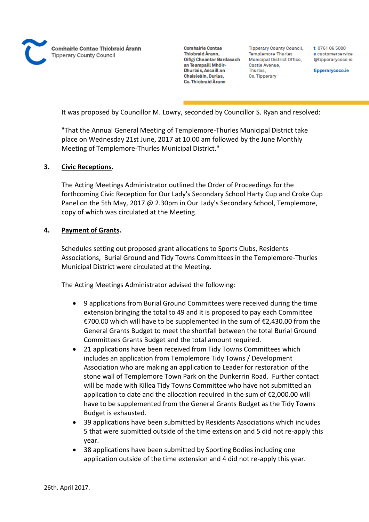**Comhairle Contae** Thiobraid Árann. Oifigi Cheantar Bardasach an Teampaill Mhóir-Dhurlais, Ascaill an Chaisleáin, Durlas, Co. Thiobraid Árann

**Tipperary County Council,** Templemore-Thurles Municipal District Office, Castle Avenue, Thurles, Co. Tipperary

t 0761 06 5000 e customerservice @tipperarvcoco.ie

tipperarycoco.ie

It was proposed by Councillor M. Lowry, seconded by Councillor S. Ryan and resolved:

"That the Annual General Meeting of Templemore-Thurles Municipal District take place on Wednesday 21st June, 2017 at 10.00 am followed by the June Monthly Meeting of Templemore-Thurles Municipal District."

# **3. Civic Receptions.**

The Acting Meetings Administrator outlined the Order of Proceedings for the forthcoming Civic Reception for Our Lady's Secondary School Harty Cup and Croke Cup Panel on the 5th May, 2017 @ 2.30pm in Our Lady's Secondary School, Templemore, copy of which was circulated at the Meeting.

#### **4. Payment of Grants.**

Schedules setting out proposed grant allocations to Sports Clubs, Residents Associations, Burial Ground and Tidy Towns Committees in the Templemore-Thurles Municipal District were circulated at the Meeting.

The Acting Meetings Administrator advised the following:

- 9 applications from Burial Ground Committees were received during the time extension bringing the total to 49 and it is proposed to pay each Committee €700.00 which will have to be supplemented in the sum of €2,430.00 from the General Grants Budget to meet the shortfall between the total Burial Ground Committees Grants Budget and the total amount required.
- 21 applications have been received from Tidy Towns Committees which includes an application from Templemore Tidy Towns / Development Association who are making an application to Leader for restoration of the stone wall of Templemore Town Park on the Dunkerrin Road. Further contact will be made with Killea Tidy Towns Committee who have not submitted an application to date and the allocation required in the sum of €2,000.00 will have to be supplemented from the General Grants Budget as the Tidy Towns Budget is exhausted.
- 39 applications have been submitted by Residents Associations which includes 5 that were submitted outside of the time extension and 5 did not re-apply this year.
- 38 applications have been submitted by Sporting Bodies including one application outside of the time extension and 4 did not re-apply this year.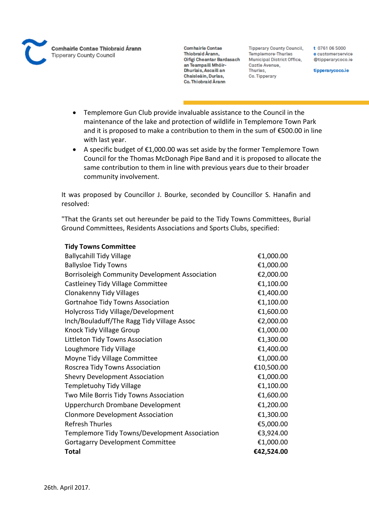

**Tipperary County Council,** Templemore-Thurles **Municipal District Office,** Castle Avenue, Thurles, Co. Tipperary

t 0761 06 5000 e customerservice @tipperarycoco.ie

tipperarycoco.ie

- Templemore Gun Club provide invaluable assistance to the Council in the maintenance of the lake and protection of wildlife in Templemore Town Park and it is proposed to make a contribution to them in the sum of €500.00 in line with last year.
- A specific budget of €1,000.00 was set aside by the former Templemore Town Council for the Thomas McDonagh Pipe Band and it is proposed to allocate the same contribution to them in line with previous years due to their broader community involvement.

It was proposed by Councillor J. Bourke, seconded by Councillor S. Hanafin and resolved:

"That the Grants set out hereunder be paid to the Tidy Towns Committees, Burial Ground Committees, Residents Associations and Sports Clubs, specified:

| <b>Hay Towns Committee</b>                            |            |
|-------------------------------------------------------|------------|
| <b>Ballycahill Tidy Village</b>                       | €1,000.00  |
| <b>Ballysloe Tidy Towns</b>                           | €1,000.00  |
| <b>Borrisoleigh Community Development Association</b> | €2,000.00  |
| Castleiney Tidy Village Committee                     | €1,100.00  |
| <b>Clonakenny Tidy Villages</b>                       | €1,400.00  |
| <b>Gortnahoe Tidy Towns Association</b>               | €1,100.00  |
| <b>Holycross Tidy Village/Development</b>             | €1,600.00  |
| Inch/Bouladuff/The Ragg Tidy Village Assoc            | €2,000.00  |
| Knock Tidy Village Group                              | €1,000.00  |
| Littleton Tidy Towns Association                      | €1,300.00  |
| Loughmore Tidy Village                                | €1,400.00  |
| Moyne Tidy Village Committee                          | €1,000.00  |
| Roscrea Tidy Towns Association                        | €10,500.00 |
| <b>Shevry Development Association</b>                 | €1,000.00  |
| <b>Templetuohy Tidy Village</b>                       | €1,100.00  |
| Two Mile Borris Tidy Towns Association                | €1,600.00  |
| Upperchurch Drombane Development                      | €1,200.00  |
| <b>Clonmore Development Association</b>               | €1,300.00  |
| <b>Refresh Thurles</b>                                | €5,000.00  |
| Templemore Tidy Towns/Development Association         | €3,924.00  |
| <b>Gortagarry Development Committee</b>               | €1,000.00  |
| <b>Total</b>                                          | €42,524.00 |
|                                                       |            |

# **Tidy Towns Committee**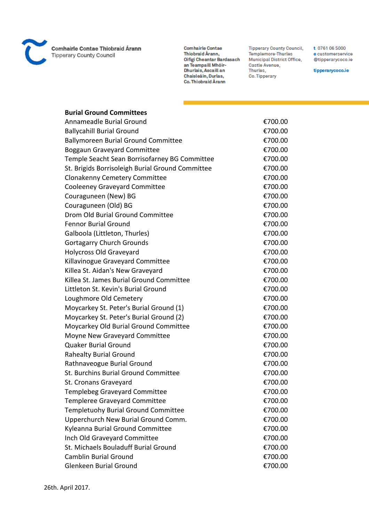

**Comhairle Contae** Thiobraid Árann, Oifigi Cheantar Bardasach an Teampaill Mhóir-<br>Dhurlais, Ascaill an Chaisleáin, Durlas, Co. Thiobraid Árann

**Tipperary County Council,** Templemore-Thurles Municipal District Office, Castle Avenue, Thurles, Co. Tipperary

t 0761 06 5000 e customerservice @tipperarycoco.ie

tipperarycoco.ie

# **Burial Ground Committees**

| Annameadle Burial Ground                         | €700.00 |
|--------------------------------------------------|---------|
| <b>Ballycahill Burial Ground</b>                 | €700.00 |
| <b>Ballymoreen Burial Ground Committee</b>       | €700.00 |
| <b>Boggaun Graveyard Committee</b>               | €700.00 |
| Temple Seacht Sean Borrisofarney BG Committee    | €700.00 |
| St. Brigids Borrisoleigh Burial Ground Committee | €700.00 |
| <b>Clonakenny Cemetery Committee</b>             | €700.00 |
| <b>Cooleeney Graveyard Committee</b>             | €700.00 |
| Couraguneen (New) BG                             | €700.00 |
| Couraguneen (Old) BG                             | €700.00 |
| Drom Old Burial Ground Committee                 | €700.00 |
| <b>Fennor Burial Ground</b>                      | €700.00 |
| Galboola (Littleton, Thurles)                    | €700.00 |
| <b>Gortagarry Church Grounds</b>                 | €700.00 |
| <b>Holycross Old Graveyard</b>                   | €700.00 |
| Killavinogue Graveyard Committee                 | €700.00 |
| Killea St. Aidan's New Graveyard                 | €700.00 |
| Killea St. James Burial Ground Committee         | €700.00 |
| Littleton St. Kevin's Burial Ground              | €700.00 |
| Loughmore Old Cemetery                           | €700.00 |
| Moycarkey St. Peter's Burial Ground (1)          | €700.00 |
| Moycarkey St. Peter's Burial Ground (2)          | €700.00 |
| Moycarkey Old Burial Ground Committee            | €700.00 |
| Moyne New Graveyard Committee                    | €700.00 |
| <b>Quaker Burial Ground</b>                      | €700.00 |
| <b>Rahealty Burial Ground</b>                    | €700.00 |
| Rathnaveogue Burial Ground                       | €700.00 |
| St. Burchins Burial Ground Committee             | €700.00 |
| St. Cronans Graveyard                            | €700.00 |
| Templebeg Graveyard Committee                    | €700.00 |
| <b>Templeree Graveyard Committee</b>             | €700.00 |
| <b>Templetuohy Burial Ground Committee</b>       | €700.00 |
| Upperchurch New Burial Ground Comm.              | €700.00 |
| Kyleanna Burial Ground Committee                 | €700.00 |
| Inch Old Graveyard Committee                     | €700.00 |
| St. Michaels Bouladuff Burial Ground             | €700.00 |
| <b>Camblin Burial Ground</b>                     | €700.00 |
| <b>Glenkeen Burial Ground</b>                    | €700.00 |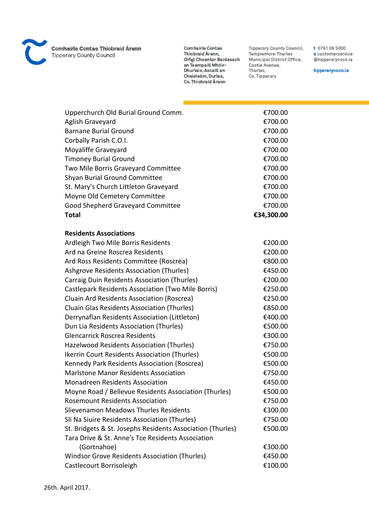

**Comhairle Contae** Thiobraid Árann, nnobraid Arann,<br>Oifigí Cheantar Bardasach<br>an Teampaill Mhóir-<br>Dhurlais, Ascaill an Chaisleáin, Durlas, Co. Thiobraid Árann

**Tipperary County Council,** Templemore-Thurles Municipal District Office, Castle Avenue, Thurles, Co. Tipperary

t 0761 06 5000 e customerservice @tipperarycoco.ie

tipperarycoco.ie

| Upperchurch Old Burial Ground Comm.                        | €700.00    |
|------------------------------------------------------------|------------|
| Aglish Graveyard                                           | €700.00    |
| <b>Barnane Burial Ground</b>                               | €700.00    |
| Corbally Parish C.O.I.                                     | €700.00    |
| Moyaliffe Graveyard                                        | €700.00    |
| <b>Timoney Burial Ground</b>                               | €700.00    |
| Two Mile Borris Graveyard Committee                        | €700.00    |
| <b>Shyan Burial Ground Committee</b>                       | €700.00    |
| St. Mary's Church Littleton Graveyard                      | €700.00    |
| Moyne Old Cemetery Committee                               | €700.00    |
| Good Shepherd Graveyard Committee                          | €700.00    |
| <b>Total</b>                                               | €34,300.00 |
|                                                            |            |
| <b>Residents Associations</b>                              |            |
| Ardleigh Two Mile Borris Residents                         | €200.00    |
| Ard na Greine Roscrea Residents                            | €200.00    |
| Ard Ross Residents Committee (Roscrea)                     | €800.00    |
| <b>Ashgrove Residents Association (Thurles)</b>            | €450.00    |
| Carraig Duin Residents Association (Thurles)               | €200.00    |
| Castlepark Residents Association (Two Mile Borris)         | €250.00    |
| Cluain Ard Residents Association (Roscrea)                 | €250.00    |
| Cluain Glas Residents Association (Thurles)                | €850.00    |
| Derrynaflan Residents Association (Littleton)              | €400.00    |
| Dun Lia Residents Association (Thurles)                    | €500.00    |
| <b>Glencarrick Roscrea Residents</b>                       | €300.00    |
| Hazelwood Residents Association (Thurles)                  | €750.00    |
| Ikerrin Court Residents Association (Thurles)              | €500.00    |
| Kennedy Park Residents Association (Roscrea)               | €500.00    |
| <b>Marlstone Manor Residents Association</b>               | €750.00    |
| Monadreen Residents Association                            | €450.00    |
| Moyne Road / Bellevue Residents Association (Thurles)      | €500.00    |
| <b>Rosemount Residents Association</b>                     | €750.00    |
| Slievenamon Meadows Thurles Residents                      | €300.00    |
| Sli Na Siuire Residents Association (Thurles)              | €750.00    |
| St. Bridgets & St. Josephs Residents Association (Thurles) | €500.00    |
| Tara Drive & St. Anne's Tce Residents Association          |            |
| (Gortnahoe)                                                | €300.00    |
| Windsor Grove Residents Association (Thurles)              | €450.00    |
| Castlecourt Borrisoleigh                                   | €100.00    |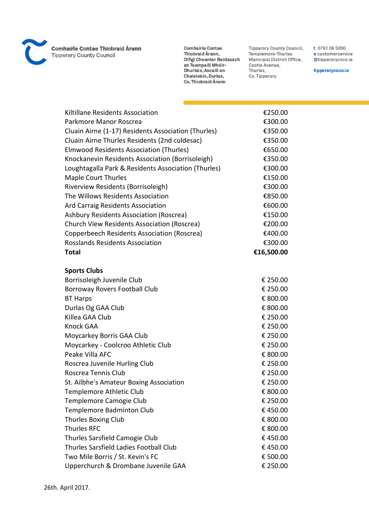

**Comhairle Contae** Thiobraid Árann, Oifigi Cheantar Bardasach an Teampaill Mhóir-<br>Dhurlais, Ascaill an Chaisleáin, Durlas, Co. Thiobraid Árann

**Tipperary County Council,** Templemore-Thurles Municipal District Office, Castle Avenue, Thurles, Co. Tipperary

t 0761 06 5000 e customerservice @tipperarycoco.ie

tipperarycoco.ie

| Kiltillane Residents Association                    | €250.00    |
|-----------------------------------------------------|------------|
| Parkmore Manor Roscrea                              | €300.00    |
| Cluain Airne (1-17) Residents Association (Thurles) | €350.00    |
| Cluain Airne Thurles Residents (2nd culdesac)       | €350.00    |
| Elmwood Residents Association (Thurles)             | €650.00    |
| Knockanevin Residents Association (Borrisoleigh)    | €350.00    |
| Loughtagalla Park & Residents Association (Thurles) | €300.00    |
| <b>Maple Court Thurles</b>                          | €150.00    |
| Riverview Residents (Borrisoleigh)                  | €300.00    |
| The Willows Residents Association                   | €850.00    |
| Ard Carraig Residents Association                   | €600.00    |
| Ashbury Residents Association (Roscrea)             | €150.00    |
| Church View Residents Association (Roscrea)         | €200.00    |
| Copperbeech Residents Association (Roscrea)         | €400.00    |
| <b>Rosslands Residents Association</b>              | €300.00    |
| <b>Total</b>                                        | €16,500.00 |
|                                                     |            |
| <b>Sports Clubs</b>                                 |            |
| Borrisoleigh Juvenile Club                          | € 250.00   |
| Borroway Rovers Football Club                       | € 250.00   |
| <b>BT Harps</b>                                     | € 800.00   |
| Durlas Og GAA Club                                  | € 800.00   |
| Killea GAA Club                                     | € 250.00   |
| <b>Knock GAA</b>                                    | € 250.00   |
| Moycarkey Borris GAA Club                           | € 250.00   |
| Moycarkey - Coolcroo Athletic Club                  | € 250.00   |
| Peake Villa AFC                                     | € 800.00   |
| Roscrea Juvenile Hurling Club                       | € 250.00   |
| Roscrea Tennis Club                                 | € 250.00   |
| St. Ailbhe's Amateur Boxing Association             | € 250.00   |
| Templemore Athletic Club                            | € 800.00   |
| Templemore Camogie Club                             | € 250.00   |
| Templemore Badminton Club                           | €450.00    |
| <b>Thurles Boxing Club</b>                          | € 800.00   |
| <b>Thurles RFC</b>                                  | € 800.00   |
| Thurles Sarsfield Camogie Club                      | €450.00    |
| Thurles Sarsfield Ladies Football Club              | €450.00    |
| Two Mile Borris / St. Kevin's FC                    | € 500.00   |
| Upperchurch & Drombane Juvenile GAA                 | € 250.00   |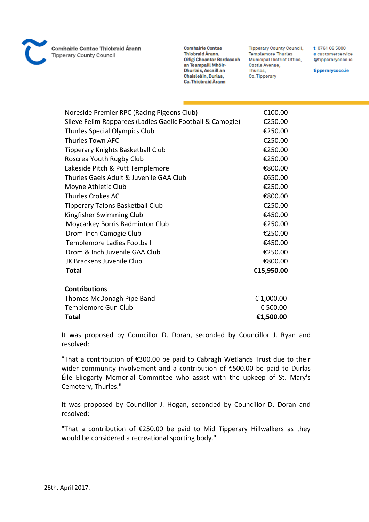

**Comhairle Contae** Thiobraid Árann, Oifigi Cheantar Bardasach an Teampaill Mhóir-Dhurlais, Ascaill an Chaisleáin, Durlas, Co. Thiobraid Árann

**Tipperary County Council,** Templemore-Thurles Municipal District Office, Castle Avenue, Thurles, Co. Tipperary

t 0761 06 5000 e customerservice @tipperarycoco.ie

tipperarycoco.ie

| Noreside Premier RPC (Racing Pigeons Club)                | €100.00    |
|-----------------------------------------------------------|------------|
| Slieve Felim Rapparees (Ladies Gaelic Football & Camogie) | €250.00    |
| Thurles Special Olympics Club                             | €250.00    |
| Thurles Town AFC                                          | €250.00    |
| Tipperary Knights Basketball Club                         | €250.00    |
| Roscrea Youth Rugby Club                                  | €250.00    |
| Lakeside Pitch & Putt Templemore                          | €800.00    |
| Thurles Gaels Adult & Juvenile GAA Club                   | €650.00    |
| Moyne Athletic Club                                       | €250.00    |
| <b>Thurles Crokes AC</b>                                  | €800.00    |
| <b>Tipperary Talons Basketball Club</b>                   | €250.00    |
| Kingfisher Swimming Club                                  | €450.00    |
| Moycarkey Borris Badminton Club                           | €250.00    |
| Drom-Inch Camogie Club                                    | €250.00    |
| <b>Templemore Ladies Football</b>                         | €450.00    |
| Drom & Inch Juvenile GAA Club                             | €250.00    |
| JK Brackens Juvenile Club                                 | €800.00    |
| <b>Total</b>                                              | €15,950.00 |
|                                                           |            |
| <b>Contributions</b>                                      |            |
| Thomas McDonagh Pipe Band                                 | € 1,000.00 |
| Templemore Gun Club                                       | € 500.00   |

**Total €1,500.00**

It was proposed by Councillor D. Doran, seconded by Councillor J. Ryan and resolved:

"That a contribution of €300.00 be paid to Cabragh Wetlands Trust due to their wider community involvement and a contribution of €500.00 be paid to Durlas Éile Eliogarty Memorial Committee who assist with the upkeep of St. Mary's Cemetery, Thurles."

It was proposed by Councillor J. Hogan, seconded by Councillor D. Doran and resolved:

"That a contribution of €250.00 be paid to Mid Tipperary Hillwalkers as they would be considered a recreational sporting body."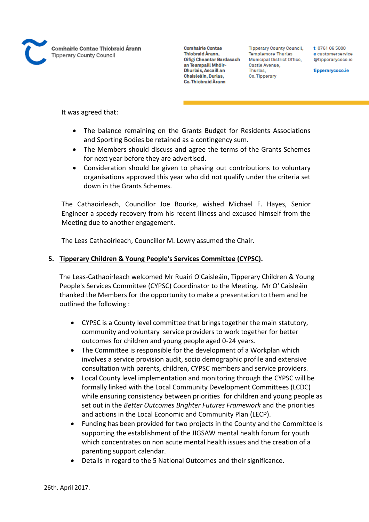

**Tipperary County Council,** Templemore-Thurles Municipal District Office, Castle Avenue, Thurles, Co. Tipperary

t 0761 06 5000 e customerservice @tipperarycoco.ie

tipperarycoco.ie

It was agreed that:

- The balance remaining on the Grants Budget for Residents Associations and Sporting Bodies be retained as a contingency sum.
- The Members should discuss and agree the terms of the Grants Schemes for next year before they are advertised.
- Consideration should be given to phasing out contributions to voluntary organisations approved this year who did not qualify under the criteria set down in the Grants Schemes.

The Cathaoirleach, Councillor Joe Bourke, wished Michael F. Hayes, Senior Engineer a speedy recovery from his recent illness and excused himself from the Meeting due to another engagement.

The Leas Cathaoirleach, Councillor M. Lowry assumed the Chair.

# **5. Tipperary Children & Young People's Services Committee (CYPSC).**

The Leas-Cathaoirleach welcomed Mr Ruairi O'Caisleáin, Tipperary Children & Young People's Services Committee (CYPSC) Coordinator to the Meeting. Mr O' Caisleáin thanked the Members for the opportunity to make a presentation to them and he outlined the following :

- CYPSC is a County level committee that brings together the main statutory, community and voluntary service providers to work together for better outcomes for children and young people aged 0-24 years.
- The Committee is responsible for the development of a Workplan which involves a service provision audit, socio demographic profile and extensive consultation with parents, children, CYPSC members and service providers.
- Local County level implementation and monitoring through the CYPSC will be formally linked with the Local Community Development Committees (LCDC) while ensuring consistency between priorities for children and young people as set out in the *Better Outcomes Brighter Futures Framework* and the priorities and actions in the Local Economic and Community Plan (LECP).
- Funding has been provided for two projects in the County and the Committee is supporting the establishment of the JIGSAW mental health forum for youth which concentrates on non acute mental health issues and the creation of a parenting support calendar.
- Details in regard to the 5 National Outcomes and their significance.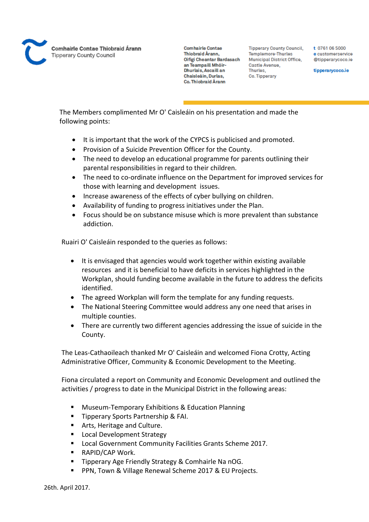

**Tipperary County Council,** Templemore-Thurles **Municipal District Office,** Castle Avenue, Thurles. Co. Tipperary

t 0761 06 5000 e customerservice @tipperarycoco.ie

tipperarycoco.ie

The Members complimented Mr O' Caisleáin on his presentation and made the following points:

- It is important that the work of the CYPCS is publicised and promoted.
- Provision of a Suicide Prevention Officer for the County.
- The need to develop an educational programme for parents outlining their parental responsibilities in regard to their children.
- The need to co-ordinate influence on the Department for improved services for those with learning and development issues.
- Increase awareness of the effects of cyber bullying on children.
- Availability of funding to progress initiatives under the Plan.
- Focus should be on substance misuse which is more prevalent than substance addiction.

Ruairi O' Caisleáin responded to the queries as follows:

- It is envisaged that agencies would work together within existing available resources and it is beneficial to have deficits in services highlighted in the Workplan, should funding become available in the future to address the deficits identified.
- The agreed Workplan will form the template for any funding requests.
- The National Steering Committee would address any one need that arises in multiple counties.
- There are currently two different agencies addressing the issue of suicide in the County.

The Leas-Cathaoileach thanked Mr O' Caisleáin and welcomed Fiona Crotty, Acting Administrative Officer, Community & Economic Development to the Meeting.

Fiona circulated a report on Community and Economic Development and outlined the activities / progress to date in the Municipal District in the following areas:

- **Museum-Temporary Exhibitions & Education Planning**
- **Tipperary Sports Partnership & FAI.**
- **Arts, Heritage and Culture.**
- Local Development Strategy
- Local Government Community Facilities Grants Scheme 2017.
- RAPID/CAP Work.
- Tipperary Age Friendly Strategy & Comhairle Na nOG.
- PPN, Town & Village Renewal Scheme 2017 & EU Projects.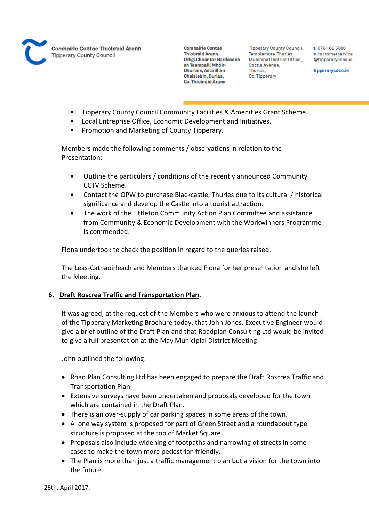

**Tipperary County Council,** Templemore-Thurles Municipal District Office, Castle Avenue, Thurles, Co. Tipperary

t 0761 06 5000 e customerservice @tipperarvcoco.ie

tipperarycoco.ie

- Tipperary County Council Community Facilities & Amenities Grant Scheme.
- Local Entreprise Office, Economic Development and Initiatives.
- Promotion and Marketing of County Tipperary.

Members made the following comments / observations in relation to the Presentation:-

- Outline the particulars / conditions of the recently announced Community CCTV Scheme.
- Contact the OPW to purchase Blackcastle, Thurles due to its cultural / historical significance and develop the Castle into a tourist attraction.
- The work of the Littleton Community Action Plan Committee and assistance from Community & Economic Development with the Workwinners Programme is commended.

Fiona undertook to check the position in regard to the queries raised.

The Leas-Cathaoirleach and Members thanked Fiona for her presentation and she left the Meeting.

# **6. Draft Roscrea Traffic and Transportation Plan.**

It was agreed, at the request of the Members who were anxious to attend the launch of the Tipperary Marketing Brochure today, that John Jones, Executive Engineer would give a brief outline of the Draft Plan and that Roadplan Consulting Ltd would be invited to give a full presentation at the May Municipial District Meeting.

John outlined the following:

- Road Plan Consulting Ltd has been engaged to prepare the Draft Roscrea Traffic and Transportation Plan.
- Extensive surveys have been undertaken and proposals developed for the town which are contained in the Draft Plan.
- There is an over-supply of car parking spaces in some areas of the town.
- A one way system is proposed for part of Green Street and a roundabout type structure is proposed at the top of Market Square.
- Proposals also include widening of footpaths and narrowing of streets in some cases to make the town more pedestrian friendly.
- The Plan is more than just a traffic management plan but a vision for the town into the future.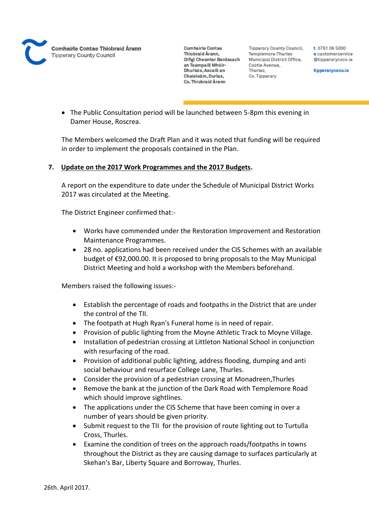

**Tipperary County Council,** Templemore-Thurles Municipal District Office, Castle Avenue, Thurles, Co. Tipperary

t 0761 06 5000 e customerservice @tipperarvcoco.ie

tipperarycoco.ie

 The Public Consultation period will be launched between 5-8pm this evening in Damer House, Roscrea.

The Members welcomed the Draft Plan and it was noted that funding will be required in order to implement the proposals contained in the Plan.

# **7. Update on the 2017 Work Programmes and the 2017 Budgets.**

A report on the expenditure to date under the Schedule of Municipal District Works 2017 was circulated at the Meeting.

The District Engineer confirmed that:-

- Works have commended under the Restoration Improvement and Restoration Maintenance Programmes.
- 28 no. applications had been received under the CIS Schemes with an available budget of €92,000.00. It is proposed to bring proposals to the May Municipal District Meeting and hold a workshop with the Members beforehand.

Members raised the following issues:-

- Establish the percentage of roads and footpaths in the District that are under the control of the TII.
- The footpath at Hugh Ryan's Funeral home is in need of repair.
- Provision of public lighting from the Moyne Athletic Track to Moyne Village.
- Installation of pedestrian crossing at Littleton National School in conjunction with resurfacing of the road.
- Provision of additional public lighting, address flooding, dumping and anti social behaviour and resurface College Lane, Thurles.
- Consider the provision of a pedestrian crossing at Monadreen,Thurles
- Remove the bank at the junction of the Dark Road with Templemore Road which should improve sightlines.
- The applications under the CIS Scheme that have been coming in over a number of years should be given priority.
- Submit request to the TII for the provision of route lighting out to Turtulla Cross, Thurles.
- Examine the condition of trees on the approach roads/footpaths in towns throughout the District as they are causing damage to surfaces particularly at Skehan's Bar, Liberty Square and Borroway, Thurles.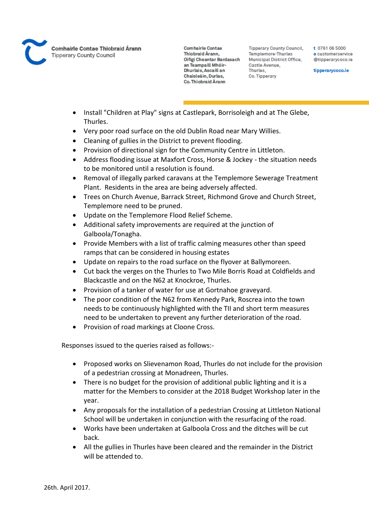

**Comhairle Contae** Thiobraid Árann. Oifigi Cheantar Bardasach an Teampaill Mhóir-Dhurlais, Ascaill an Chaisleáin, Durlas, Co. Thiobraid Árann

**Tipperary County Council,** Templemore-Thurles **Municipal District Office,** Castle Avenue, Thurles. Co. Tipperary

t 0761 06 5000 e customerservice @tipperarycoco.ie

tipperarycoco.ie

- Install "Children at Play" signs at Castlepark, Borrisoleigh and at The Glebe, Thurles.
- Very poor road surface on the old Dublin Road near Mary Willies.
- Cleaning of gullies in the District to prevent flooding.
- Provision of directional sign for the Community Centre in Littleton.
- Address flooding issue at Maxfort Cross, Horse & Jockey the situation needs to be monitored until a resolution is found.
- Removal of illegally parked caravans at the Templemore Sewerage Treatment Plant. Residents in the area are being adversely affected.
- Trees on Church Avenue, Barrack Street, Richmond Grove and Church Street, Templemore need to be pruned.
- Update on the Templemore Flood Relief Scheme.
- Additional safety improvements are required at the junction of Galboola/Tonagha.
- Provide Members with a list of traffic calming measures other than speed ramps that can be considered in housing estates
- Update on repairs to the road surface on the flyover at Ballymoreen.
- Cut back the verges on the Thurles to Two Mile Borris Road at Coldfields and Blackcastle and on the N62 at Knockroe, Thurles.
- Provision of a tanker of water for use at Gortnahoe graveyard.
- The poor condition of the N62 from Kennedy Park, Roscrea into the town needs to be continuously highlighted with the TII and short term measures need to be undertaken to prevent any further deterioration of the road.
- Provision of road markings at Cloone Cross.

Responses issued to the queries raised as follows:-

- Proposed works on Slievenamon Road, Thurles do not include for the provision of a pedestrian crossing at Monadreen, Thurles.
- There is no budget for the provision of additional public lighting and it is a matter for the Members to consider at the 2018 Budget Workshop later in the year.
- Any proposals for the installation of a pedestrian Crossing at Littleton National School will be undertaken in conjunction with the resurfacing of the road.
- Works have been undertaken at Galboola Cross and the ditches will be cut back.
- All the gullies in Thurles have been cleared and the remainder in the District will be attended to.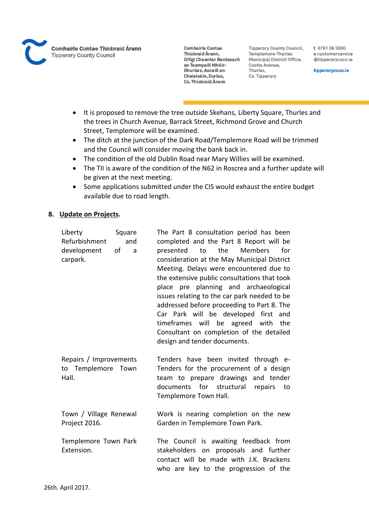

**Tipperary County Council,** Templemore-Thurles Municipal District Office, Castle Avenue, Thurles, Co. Tipperary

t 0761 06 5000 e customerservice @tipperarycoco.ie

tipperarycoco.ie

- It is proposed to remove the tree outside Skehans, Liberty Square, Thurles and the trees in Church Avenue, Barrack Street, Richmond Grove and Church Street, Templemore will be examined.
- The ditch at the junction of the Dark Road/Templemore Road will be trimmed and the Council will consider moving the bank back in.
- The condition of the old Dublin Road near Mary Willies will be examined.
- The TII is aware of the condition of the N62 in Roscrea and a further update will be given at the next meeting.
- Some applications submitted under the CIS would exhaust the entire budget available due to road length.

#### **8. Update on Projects.**

| Liberty<br>Square<br>Refurbishment<br>and<br>of<br>development<br>a<br>carpark. | The Part 8 consultation period has been<br>completed and the Part 8 Report will be<br>the<br><b>Members</b><br>presented<br>to<br>for<br>consideration at the May Municipal District<br>Meeting. Delays were encountered due to<br>the extensive public consultations that took<br>place pre planning and archaeological<br>issues relating to the car park needed to be<br>addressed before proceeding to Part 8. The<br>Car Park will be developed first and<br>timeframes will be agreed with<br>the<br>Consultant on completion of the detailed<br>design and tender documents. |
|---------------------------------------------------------------------------------|-------------------------------------------------------------------------------------------------------------------------------------------------------------------------------------------------------------------------------------------------------------------------------------------------------------------------------------------------------------------------------------------------------------------------------------------------------------------------------------------------------------------------------------------------------------------------------------|
| Repairs / Improvements<br>to Templemore Town<br>Hall.                           | Tenders have been invited through e-<br>Tenders for the procurement of a design<br>team to prepare drawings and tender<br>documents for structural repairs<br>to<br>Templemore Town Hall.                                                                                                                                                                                                                                                                                                                                                                                           |
| Town / Village Renewal<br>Project 2016.                                         | Work is nearing completion on the new<br>Garden in Templemore Town Park.                                                                                                                                                                                                                                                                                                                                                                                                                                                                                                            |
| Templemore Town Park<br>Extension.                                              | The Council is awaiting feedback from<br>stakeholders on proposals and further<br>contact will be made with J.K. Brackens<br>who are key to the progression of the                                                                                                                                                                                                                                                                                                                                                                                                                  |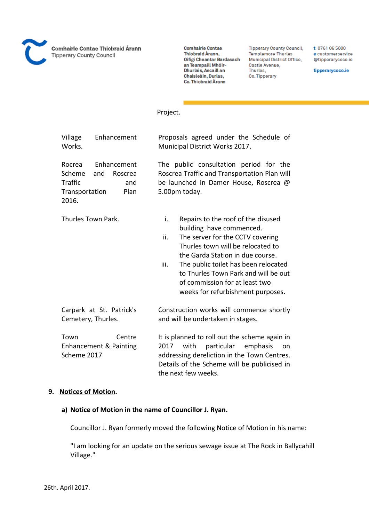

**Comhairle Contae** Thiobraid Árann, Oifigi Cheantar Bardasach an Teampaill Mhóir-Dhurlais, Ascaill an Chaisleáin, Durlas, Co. Thiobraid Árann

**Tipperary County Council,** Templemore-Thurles Municipal District Office, Castle Avenue, Thurles, Co. Tipperary

t 0761 06 5000 e customerservice @tipperarycoco.ie

tipperarycoco.ie

# Project.

| Village<br>Works.                                             | Enhancement                                  |                   | Proposals agreed under the Schedule of<br>Municipal District Works 2017.                                                                                                                                                                                                                                                           |
|---------------------------------------------------------------|----------------------------------------------|-------------------|------------------------------------------------------------------------------------------------------------------------------------------------------------------------------------------------------------------------------------------------------------------------------------------------------------------------------------|
| Rocrea<br>Scheme<br><b>Traffic</b><br>Transportation<br>2016. | Enhancement<br>and<br>Roscrea<br>and<br>Plan |                   | The public consultation period for the<br>Roscrea Traffic and Transportation Plan will<br>be launched in Damer House, Roscrea @<br>5.00pm today.                                                                                                                                                                                   |
| Thurles Town Park.                                            |                                              | i.<br>ii.<br>iii. | Repairs to the roof of the disused<br>building have commenced.<br>The server for the CCTV covering<br>Thurles town will be relocated to<br>the Garda Station in due course.<br>The public toilet has been relocated<br>to Thurles Town Park and will be out<br>of commission for at least two<br>weeks for refurbishment purposes. |
| Cemetery, Thurles.                                            | Carpark at St. Patrick's                     |                   | Construction works will commence shortly<br>and will be undertaken in stages.                                                                                                                                                                                                                                                      |
| Town<br>Scheme 2017                                           | Centre<br>Enhancement & Painting             | 2017              | It is planned to roll out the scheme again in<br>with<br>particular<br>emphasis<br>on<br>addressing dereliction in the Town Centres.<br>Details of the Scheme will be publicised in<br>the next few weeks.                                                                                                                         |

#### **9. Notices of Motion.**

#### **a) Notice of Motion in the name of Councillor J. Ryan.**

Councillor J. Ryan formerly moved the following Notice of Motion in his name:

"I am looking for an update on the serious sewage issue at The Rock in Ballycahill Village."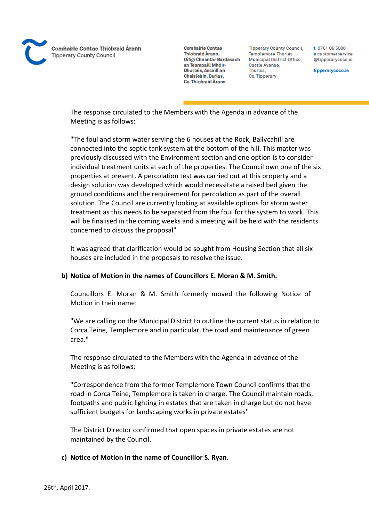

**Tipperary County Council,** Templemore-Thurles Municipal District Office, Castle Avenue, Thurles, Co. Tipperary

t 0761 06 5000 e customerservice @tipperarvcoco.ie

tipperarycoco.ie

The response circulated to the Members with the Agenda in advance of the Meeting is as follows:

"The foul and storm water serving the 6 houses at the Rock, Ballycahill are connected into the septic tank system at the bottom of the hill. This matter was previously discussed with the Environment section and one option is to consider individual treatment units at each of the properties. The Council own one of the six properties at present. A percolation test was carried out at this property and a design solution was developed which would necessitate a raised bed given the ground conditions and the requirement for percolation as part of the overall solution. The Council are currently looking at available options for storm water treatment as this needs to be separated from the foul for the system to work. This will be finalised in the coming weeks and a meeting will be held with the residents concerned to discuss the proposal"

It was agreed that clarification would be sought from Housing Section that all six houses are included in the proposals to resolve the issue.

# **b) Notice of Motion in the names of Councillors E. Moran & M. Smith.**

Councillors E. Moran & M. Smith formerly moved the following Notice of Motion in their name:

"We are calling on the Municipal District to outline the current status in relation to Corca Teine, Templemore and in particular, the road and maintenance of green area."

The response circulated to the Members with the Agenda in advance of the Meeting is as follows:

"Correspondence from the former Templemore Town Council confirms that the road in Corca Teine, Templemore is taken in charge. The Council maintain roads, footpaths and public lighting in estates that are taken in charge but do not have sufficient budgets for landscaping works in private estates"

The District Director confirmed that open spaces in private estates are not maintained by the Council.

# **c) Notice of Motion in the name of Councillor S. Ryan.**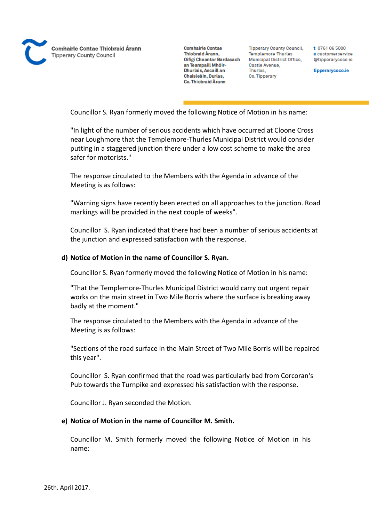

**Tipperary County Council,** Templemore-Thurles **Municipal District Office,** Castle Avenue, Thurles, Co. Tipperary

t 0761 06 5000 e customerservice @tipperarycoco.ie

tipperarycoco.ie

Councillor S. Ryan formerly moved the following Notice of Motion in his name:

"In light of the number of serious accidents which have occurred at Cloone Cross near Loughmore that the Templemore-Thurles Municipal District would consider putting in a staggered junction there under a low cost scheme to make the area safer for motorists."

The response circulated to the Members with the Agenda in advance of the Meeting is as follows:

"Warning signs have recently been erected on all approaches to the junction. Road markings will be provided in the next couple of weeks".

Councillor S. Ryan indicated that there had been a number of serious accidents at the junction and expressed satisfaction with the response.

#### **d) Notice of Motion in the name of Councillor S. Ryan.**

Councillor S. Ryan formerly moved the following Notice of Motion in his name:

"That the Templemore-Thurles Municipal District would carry out urgent repair works on the main street in Two Mile Borris where the surface is breaking away badly at the moment."

The response circulated to the Members with the Agenda in advance of the Meeting is as follows:

"Sections of the road surface in the Main Street of Two Mile Borris will be repaired this year".

Councillor S. Ryan confirmed that the road was particularly bad from Corcoran's Pub towards the Turnpike and expressed his satisfaction with the response.

Councillor J. Ryan seconded the Motion.

# **e) Notice of Motion in the name of Councillor M. Smith.**

Councillor M. Smith formerly moved the following Notice of Motion in his name: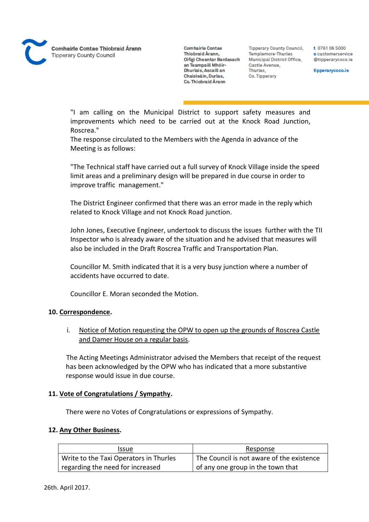**Comhairle Contae** Thiobraid Árann, Oifigi Cheantar Bardasach an Teampaill Mhóir-Dhurlais, Ascaill an Chaisleáin, Durlas, Co. Thiobraid Árann

**Tipperary County Council,** Templemore-Thurles **Municipal District Office,** Castle Avenue, Thurles. Co. Tipperary

t 0761 06 5000 e customerservice @tipperarycoco.ie

tipperarycoco.ie

"I am calling on the Municipal District to support safety measures and improvements which need to be carried out at the Knock Road Junction, Roscrea."

The response circulated to the Members with the Agenda in advance of the Meeting is as follows:

"The Technical staff have carried out a full survey of Knock Village inside the speed limit areas and a preliminary design will be prepared in due course in order to improve traffic management."

The District Engineer confirmed that there was an error made in the reply which related to Knock Village and not Knock Road junction.

John Jones, Executive Engineer, undertook to discuss the issues further with the TII Inspector who is already aware of the situation and he advised that measures will also be included in the Draft Roscrea Traffic and Transportation Plan.

Councillor M. Smith indicated that it is a very busy junction where a number of accidents have occurred to date.

Councillor E. Moran seconded the Motion.

# **10. Correspondence.**

# i. Notice of Motion requesting the OPW to open up the grounds of Roscrea Castle and Damer House on a regular basis.

The Acting Meetings Administrator advised the Members that receipt of the request has been acknowledged by the OPW who has indicated that a more substantive response would issue in due course.

# **11. Vote of Congratulations / Sympathy.**

There were no Votes of Congratulations or expressions of Sympathy.

#### **12. Any Other Business.**

| Issue                                  | Response                                  |
|----------------------------------------|-------------------------------------------|
| Write to the Taxi Operators in Thurles | The Council is not aware of the existence |
| regarding the need for increased       | of any one group in the town that         |